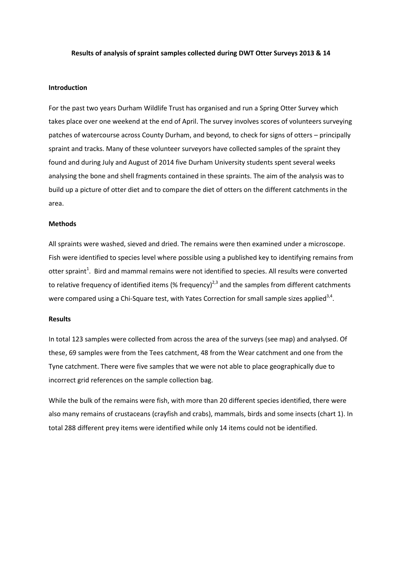#### **Results of analysis of spraint samples collected during DWT Otter Surveys 2013 & 14**

#### **Introduction**

For the past two years Durham Wildlife Trust has organised and run a Spring Otter Survey which takes place over one weekend at the end of April. The survey involves scores of volunteers surveying patches of watercourse across County Durham, and beyond, to check for signs of otters – principally spraint and tracks. Many of these volunteer surveyors have collected samples of the spraint they found and during July and August of 2014 five Durham University students spent several weeks analysing the bone and shell fragments contained in these spraints. The aim of the analysis was to build up a picture of otter diet and to compare the diet of otters on the different catchments in the area.

#### **Methods**

All spraints were washed, sieved and dried. The remains were then examined under a microscope. Fish were identified to species level where possible using a published key to identifying remains from otter spraint<sup>1</sup>. Bird and mammal remains were not identified to species. All results were converted to relative frequency of identified items (% frequency)<sup>2,3</sup> and the samples from different catchments were compared using a Chi-Square test, with Yates Correction for small sample sizes applied<sup>3,4</sup>.

#### **Results**

In total 123 samples were collected from across the area of the surveys (see map) and analysed. Of these, 69 samples were from the Tees catchment, 48 from the Wear catchment and one from the Tyne catchment. There were five samples that we were not able to place geographically due to incorrect grid references on the sample collection bag.

While the bulk of the remains were fish, with more than 20 different species identified, there were also many remains of crustaceans (crayfish and crabs), mammals, birds and some insects (chart 1). In total 288 different prey items were identified while only 14 items could not be identified.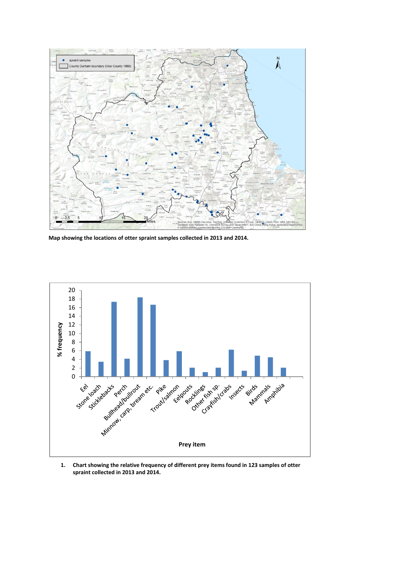

**Map showing the locations of otter spraint samples collected in 2013 and 2014.**



**1. Chart showing the relative frequency of different prey items found in 123 samples of otter spraint collected in 2013 and 2014.**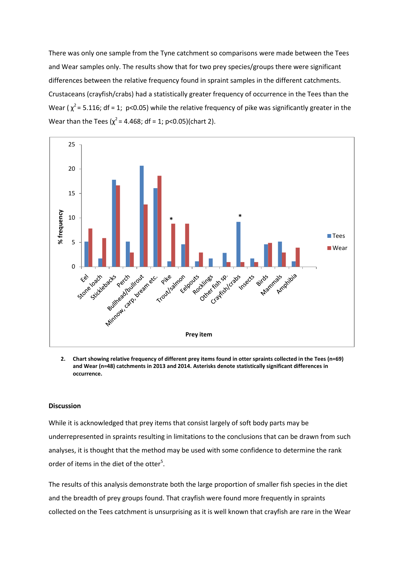There was only one sample from the Tyne catchment so comparisons were made between the Tees and Wear samples only. The results show that for two prey species/groups there were significant differences between the relative frequency found in spraint samples in the different catchments. Crustaceans (crayfish/crabs) had a statistically greater frequency of occurrence in the Tees than the Wear ( $\chi^2$  = 5.116; df = 1; p<0.05) while the relative frequency of pike was significantly greater in the Wear than the Tees ( $\chi^2$  = 4.468; df = 1; p<0.05)(chart 2).



**2. Chart showing relative frequency of different prey items found in otter spraints collected in the Tees (n=69) and Wear (n=48) catchments in 2013 and 2014. Asterisks denote statistically significant differences in occurrence.**

### **Discussion**

While it is acknowledged that prey items that consist largely of soft body parts may be underrepresented in spraints resulting in limitations to the conclusions that can be drawn from such analyses, it is thought that the method may be used with some confidence to determine the rank order of items in the diet of the otter<sup>5</sup>.

The results of this analysis demonstrate both the large proportion of smaller fish species in the diet and the breadth of prey groups found. That crayfish were found more frequently in spraints collected on the Tees catchment is unsurprising as it is well known that crayfish are rare in the Wear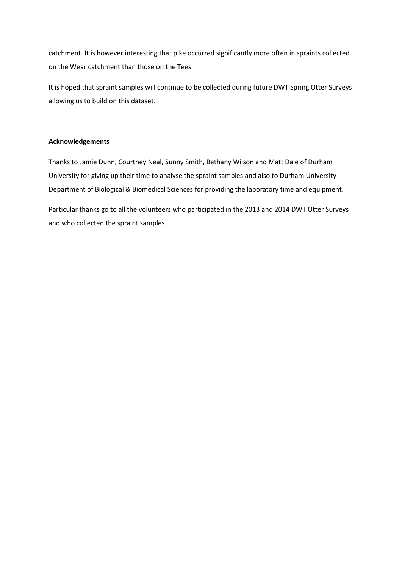catchment. It is however interesting that pike occurred significantly more often in spraints collected on the Wear catchment than those on the Tees.

It is hoped that spraint samples will continue to be collected during future DWT Spring Otter Surveys allowing us to build on this dataset.

# **Acknowledgements**

Thanks to Jamie Dunn, Courtney Neal, Sunny Smith, Bethany Wilson and Matt Dale of Durham University for giving up their time to analyse the spraint samples and also to Durham University Department of Biological & Biomedical Sciences for providing the laboratory time and equipment.

Particular thanks go to all the volunteers who participated in the 2013 and 2014 DWT Otter Surveys and who collected the spraint samples.